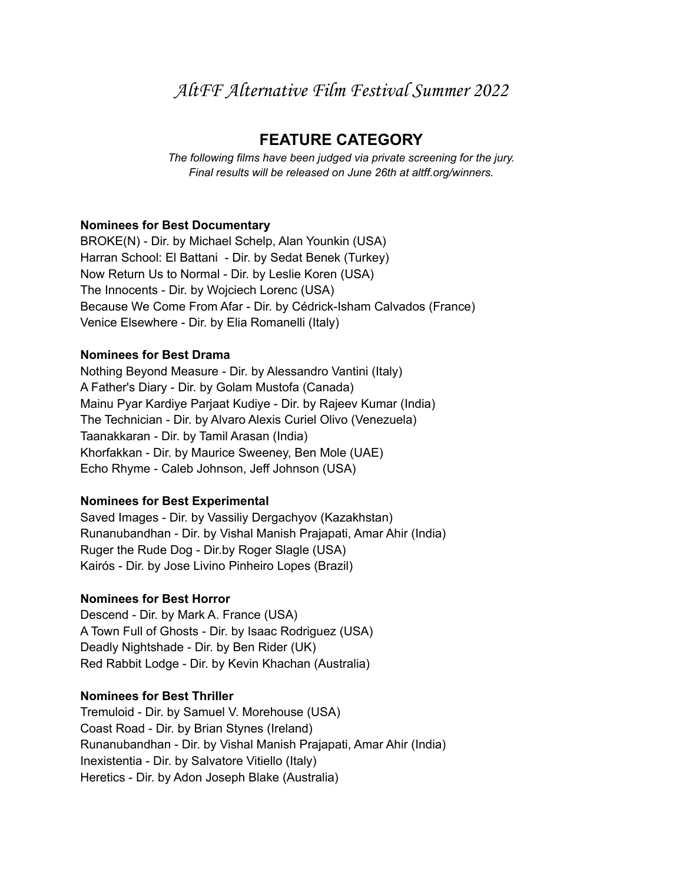# AltFF Alternative Film Festival Summer 2022

# **FEATURE CATEGORY**

*The following films have been judged via private screening for the jury. Final results will be released on June 26th at altff.org/winners.*

#### **Nominees for Best Documentary**

BROKE(N) - Dir. by Michael Schelp, Alan Younkin (USA) Harran School: El Battani - Dir. by Sedat Benek (Turkey) Now Return Us to Normal - Dir. by Leslie Koren (USA) The Innocents - Dir. by Wojciech Lorenc (USA) Because We Come From Afar - Dir. by Cédrick-Isham Calvados (France) Venice Elsewhere - Dir. by Elia Romanelli (Italy)

# **Nominees for Best Drama**

Nothing Beyond Measure - Dir. by Alessandro Vantini (Italy) A Father's Diary - Dir. by Golam Mustofa (Canada) Mainu Pyar Kardiye Parjaat Kudiye - Dir. by Rajeev Kumar (India) The Technician - Dir. by Alvaro Alexis Curiel Olivo (Venezuela) Taanakkaran - Dir. by Tamil Arasan (India) Khorfakkan - Dir. by Maurice Sweeney, Ben Mole (UAE) Echo Rhyme - Caleb Johnson, Jeff Johnson (USA)

#### **Nominees for Best Experimental**

Saved Images - Dir. by Vassiliy Dergachyov (Kazakhstan) Runanubandhan - Dir. by Vishal Manish Prajapati, Amar Ahir (India) Ruger the Rude Dog - Dir.by Roger Slagle (USA) Kairós - Dir. by Jose Livino Pinheiro Lopes (Brazil)

#### **Nominees for Best Horror**

Descend - Dir. by Mark A. France (USA) A Town Full of Ghosts - Dir. by Isaac Rodriguez (USA) Deadly Nightshade - Dir. by Ben Rider (UK) Red Rabbit Lodge - Dir. by Kevin Khachan (Australia)

#### **Nominees for Best Thriller**

Tremuloid - Dir. by Samuel V. Morehouse (USA) Coast Road - Dir. by Brian Stynes (Ireland) Runanubandhan - Dir. by Vishal Manish Prajapati, Amar Ahir (India) Inexistentia - Dir. by Salvatore Vitiello (Italy) Heretics - Dir. by Adon Joseph Blake (Australia)